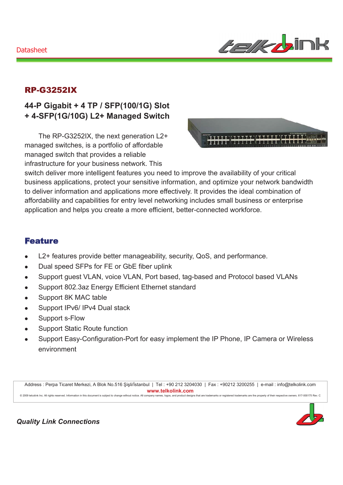### Datasheet



## RP-G3252IX

## **44-P Gigabit + 4 TP / SFP(100/1G) Slot + 4-SFP(1G/10G) L2+ Managed Switch**

The RP-G3252IX, the next generation L2+ managed switches, is a portfolio of affordable managed switch that provides a reliable infrastructure for your business network. This



switch deliver more intelligent features you need to improve the availability of your critical business applications, protect your sensitive information, and optimize your network bandwidth to deliver information and applications more effectively. It provides the ideal combination of affordability and capabilities for entry level networking includes small business or enterprise application and helps you create a more efficient, better-connected workforce.

#### Feature

- L2+ features provide better manageability, security, QoS, and performance.
- Dual speed SFPs for FE or GbE fiber uplink
- Support guest VLAN, voice VLAN, Port based, tag-based and Protocol based VLANs
- Support 802.3az Energy Efficient Ethernet standard
- Support 8K MAC table
- Support IPv6/ IPv4 Dual stack
- Support s-Flow
- Support Static Route function
- Support Easy-Configuration-Port for easy implement the IP Phone, IP Camera or Wireless environment

Address : Perpa Ticaret Merkezi, A Blok No.516 Şişli/İstanbul | Tel : +90 212 3204030 | Fax : +90212 3200255 | e-mail : info@telkolink.com  $www.telkolink.com$ @ 2009 telcolink Inc. All rights reserved. Information in this document is subject to change without notice. All company name s, logos, and product de signs that are trademarks or registered trademarks are the property of their respective owners. 617-000175 Rev. C



**Quality Link Connections**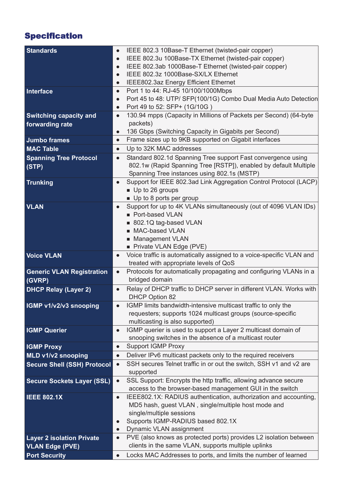# **Specification**

| <b>Standards</b>                   | IEEE 802.3 10Base-T Ethernet (twisted-pair copper)<br>IEEE 802.3u 100Base-TX Ethernet (twisted-pair copper)                               |
|------------------------------------|-------------------------------------------------------------------------------------------------------------------------------------------|
|                                    | IEEE 802.3ab 1000Base-T Ethernet (twisted-pair copper)                                                                                    |
|                                    | IEEE 802.3z 1000Base-SX/LX Ethernet<br>$\bullet$                                                                                          |
|                                    | IEEE802.3az Energy Efficient Ethernet<br>$\bullet$                                                                                        |
| Interface                          | Port 1 to 44: RJ-45 10/100/1000Mbps<br>$\bullet$                                                                                          |
|                                    | Port 45 to 48: UTP/ SFP(100/1G) Combo Dual Media Auto Detection<br>$\bullet$                                                              |
|                                    | Port 49 to 52: SFP+ (1G/10G)<br>$\bullet$                                                                                                 |
| <b>Switching capacity and</b>      | 130.94 mpps (Capacity in Millions of Packets per Second) (64-byte<br>$\bullet$                                                            |
| forwarding rate                    | packets)                                                                                                                                  |
|                                    | 136 Gbps (Switching Capacity in Gigabits per Second)<br>$\bullet$                                                                         |
| <b>Jumbo frames</b>                | Frame sizes up to 9KB supported on Gigabit interfaces<br>$\bullet$                                                                        |
| <b>MAC Table</b>                   | Up to 32K MAC addresses<br>$\bullet$                                                                                                      |
| <b>Spanning Tree Protocol</b>      | Standard 802.1d Spanning Tree support Fast convergence using<br>$\bullet$                                                                 |
| (STP)                              | 802.1w (Rapid Spanning Tree [RSTP]), enabled by default Multiple                                                                          |
|                                    | Spanning Tree instances using 802.1s (MSTP)                                                                                               |
| <b>Trunking</b>                    | Support for IEEE 802.3ad Link Aggregation Control Protocol (LACP)<br>$\bullet$                                                            |
|                                    | Up to 26 groups                                                                                                                           |
|                                    | Up to 8 ports per group                                                                                                                   |
| <b>VLAN</b>                        | Support for up to 4K VLANs simultaneously (out of 4096 VLAN IDs)<br>$\bullet$                                                             |
|                                    | Port-based VLAN                                                                                                                           |
|                                    | 802.1Q tag-based VLAN                                                                                                                     |
|                                    | MAC-based VLAN                                                                                                                            |
|                                    | Management VLAN                                                                                                                           |
|                                    | Private VLAN Edge (PVE)                                                                                                                   |
| <b>Voice VLAN</b>                  | Voice traffic is automatically assigned to a voice-specific VLAN and<br>treated with appropriate levels of QoS                            |
| <b>Generic VLAN Registration</b>   | Protocols for automatically propagating and configuring VLANs in a<br>$\bullet$                                                           |
| (GVRP)                             | bridged domain                                                                                                                            |
|                                    | Relay of DHCP traffic to DHCP server in different VLAN. Works with                                                                        |
| <b>DHCP Relay (Layer 2)</b>        | <b>DHCP Option 82</b>                                                                                                                     |
| IGMP v1/v2/v3 snooping             | IGMP limits bandwidth-intensive multicast traffic to only the                                                                             |
|                                    | requesters; supports 1024 multicast groups (source-specific                                                                               |
|                                    | multicasting is also supported)                                                                                                           |
| <b>IGMP Querier</b>                | IGMP querier is used to support a Layer 2 multicast domain of<br>$\bullet$                                                                |
|                                    | snooping switches in the absence of a multicast router                                                                                    |
| <b>IGMP Proxy</b>                  |                                                                                                                                           |
|                                    | $\bullet$                                                                                                                                 |
|                                    | <b>Support IGMP Proxy</b><br>$\bullet$                                                                                                    |
| MLD v1/v2 snooping                 | Deliver IPv6 multicast packets only to the required receivers                                                                             |
| <b>Secure Shell (SSH) Protocol</b> | SSH secures Telnet traffic in or out the switch, SSH v1 and v2 are                                                                        |
|                                    | supported                                                                                                                                 |
| <b>Secure Sockets Layer (SSL)</b>  | SSL Support: Encrypts the http traffic, allowing advance secure                                                                           |
|                                    | access to the browser-based management GUI in the switch<br>IEEE802.1X: RADIUS authentication, authorization and accounting,<br>$\bullet$ |
| <b>IEEE 802.1X</b>                 | MD5 hash, guest VLAN, single/multiple host mode and                                                                                       |
|                                    | single/multiple sessions                                                                                                                  |
|                                    | Supports IGMP-RADIUS based 802.1X<br>$\bullet$                                                                                            |
|                                    | Dynamic VLAN assignment                                                                                                                   |
| <b>Layer 2 isolation Private</b>   | PVE (also knows as protected ports) provides L2 isolation between                                                                         |
| <b>VLAN Edge (PVE)</b>             | clients in the same VLAN, supports multiple uplinks                                                                                       |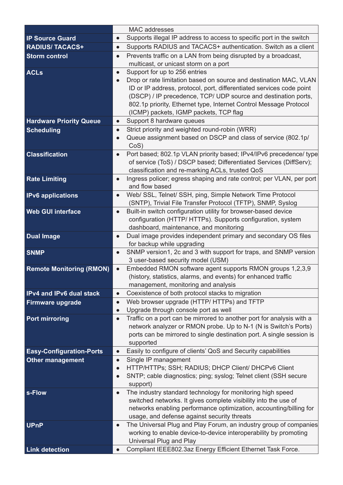|                                 | <b>MAC</b> addresses                                                                                                    |
|---------------------------------|-------------------------------------------------------------------------------------------------------------------------|
| <b>IP Source Guard</b>          | Supports illegal IP address to access to specific port in the switch<br>$\bullet$                                       |
| <b>RADIUS/TACACS+</b>           | Supports RADIUS and TACACS+ authentication. Switch as a client<br>$\bullet$                                             |
| <b>Storm control</b>            | Prevents traffic on a LAN from being disrupted by a broadcast,<br>$\bullet$                                             |
|                                 | multicast, or unicast storm on a port                                                                                   |
| <b>ACLs</b>                     | Support for up to 256 entries<br>$\bullet$                                                                              |
|                                 | Drop or rate limitation based on source and destination MAC, VLAN                                                       |
|                                 | ID or IP address, protocol, port, differentiated services code point                                                    |
|                                 | (DSCP) / IP precedence, TCP/ UDP source and destination ports,                                                          |
|                                 | 802.1p priority, Ethernet type, Internet Control Message Protocol                                                       |
|                                 | (ICMP) packets, IGMP packets, TCP flag                                                                                  |
| <b>Hardware Priority Queue</b>  | Support 8 hardware queues<br>$\bullet$                                                                                  |
| <b>Scheduling</b>               | Strict priority and weighted round-robin (WRR)<br>$\bullet$                                                             |
|                                 | Queue assignment based on DSCP and class of service (802.1p/                                                            |
|                                 | CoS                                                                                                                     |
| <b>Classification</b>           | Port based; 802.1p VLAN priority based; IPv4/IPv6 precedence/ type<br>$\bullet$                                         |
|                                 | of service (ToS) / DSCP based; Differentiated Services (DiffServ);                                                      |
|                                 | classification and re-marking ACLs, trusted QoS<br>Ingress policer; egress shaping and rate control; per VLAN, per port |
| <b>Rate Limiting</b>            | and flow based                                                                                                          |
| <b>IPv6</b> applications        | Web/ SSL, Telnet/ SSH, ping, Simple Network Time Protocol<br>$\bullet$                                                  |
|                                 | (SNTP), Trivial File Transfer Protocol (TFTP), SNMP, Syslog                                                             |
| <b>Web GUI interface</b>        | Built-in switch configuration utility for browser-based device                                                          |
|                                 | configuration (HTTP/ HTTPs). Supports configuration, system                                                             |
|                                 | dashboard, maintenance, and monitoring                                                                                  |
| <b>Dual Image</b>               | Dual image provides independent primary and secondary OS files<br>$\bullet$                                             |
|                                 | for backup while upgrading                                                                                              |
| <b>SNMP</b>                     | SNMP version1, 2c and 3 with support for traps, and SNMP version<br>$\bullet$                                           |
|                                 | 3 user-based security model (USM)                                                                                       |
| <b>Remote Monitoring (RMON)</b> | Embedded RMON software agent supports RMON groups 1,2,3,9<br>$\bullet$                                                  |
|                                 | (history, statistics, alarms, and events) for enhanced traffic                                                          |
|                                 | management, monitoring and analysis                                                                                     |
| <b>IPv4 and IPv6 dual stack</b> | Coexistence of both protocol stacks to migration                                                                        |
| <b>Firmware upgrade</b>         | Web browser upgrade (HTTP/ HTTPs) and TFTP<br>$\bullet$                                                                 |
|                                 | Upgrade through console port as well<br>$\bullet$                                                                       |
| <b>Port mirroring</b>           | Traffic on a port can be mirrored to another port for analysis with a                                                   |
|                                 | network analyzer or RMON probe. Up to N-1 (N is Switch's Ports)                                                         |
|                                 | ports can be mirrored to single destination port. A single session is<br>supported                                      |
|                                 | Easily to configure of clients' QoS and Security capabilities                                                           |
| <b>Easy-Configuration-Ports</b> | $\bullet$<br>Single IP management                                                                                       |
| <b>Other management</b>         | $\bullet$<br>HTTP/HTTPs; SSH; RADIUS; DHCP Client/ DHCPv6 Client                                                        |
|                                 | $\bullet$<br>SNTP; cable diagnostics; ping; syslog; Telnet client (SSH secure                                           |
|                                 | support)                                                                                                                |
| s-Flow                          | The industry standard technology for monitoring high speed<br>$\bullet$                                                 |
|                                 | switched networks. It gives complete visibility into the use of                                                         |
|                                 | networks enabling performance optimization, accounting/billing for                                                      |
|                                 | usage, and defense against security threats                                                                             |
| <b>UPnP</b>                     | The Universal Plug and Play Forum, an industry group of companies                                                       |
|                                 | working to enable device-to-device interoperability by promoting                                                        |
|                                 | Universal Plug and Play                                                                                                 |
| <b>Link detection</b>           | Compliant IEEE802.3az Energy Efficient Ethernet Task Force.<br>$\bullet$                                                |